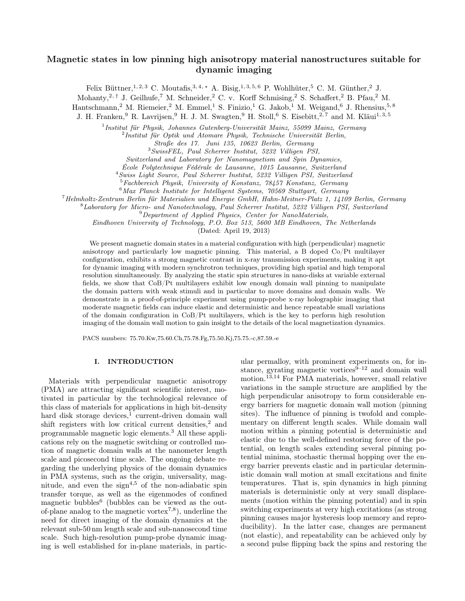# Magnetic states in low pinning high anisotropy material nanostructures suitable for dynamic imaging

Felix Büttner,<sup>1, 2, 3</sup> C. Moutafis,<sup>3, 4, \*</sup> A. Bisig,<sup>1, 3, 5, 6</sup> P. Wohlhüter,<sup>5</sup> C. M. Günther,<sup>2</sup> J.

Mohanty,<sup>2,†</sup> J. Geilhufe,<sup>7</sup> M. Schneider,<sup>2</sup> C. v. Korff Schmising,<sup>2</sup> S. Schaffert,<sup>2</sup> B. Pfau,<sup>2</sup> M.

Hantschmann,<sup>2</sup> M. Riemeier,<sup>2</sup> M. Emmel,<sup>1</sup> S. Finizio,<sup>1</sup> G. Jakob,<sup>1</sup> M. Weigand,<sup>6</sup> J. Rhensius,<sup>5,8</sup>

J. H. Franken,<sup>9</sup> R. Lavrijsen,<sup>9</sup> H. J. M. Swagten,<sup>9</sup> H. Stoll,<sup>6</sup> S. Eisebitt,<sup>2,7</sup> and M. Kläui<sup>1,3,5</sup>

1 Institut für Physik, Johannes Gutenberg-Universität Mainz, 55099 Mainz, Germany

<sup>2</sup>Institut für Optik und Atomare Physik, Technische Universität Berlin,

Straße des 17. Juni 135, 10623 Berlin, Germany

<sup>3</sup>SwissFEL, Paul Scherrer Institut, 5232 Villigen PSI,

Switzerland and Laboratory for Nanomagnetism and Spin Dynamics,

École Polytechnique Fédérale de Lausanne, 1015 Lausanne, Switzerland

<sup>4</sup>Swiss Light Source, Paul Scherrer Institut, 5232 Villigen PSI, Switzerland

<sup>5</sup>Fachbereich Physik, University of Konstanz, 78457 Konstanz, Germany

 $6$ Max Planck Institute for Intelligent Systems, 70569 Stuttgart, Germany

<sup>7</sup>Helmholtz-Zentrum Berlin für Materialien und Energie GmbH, Hahn-Meitner-Platz 1, 14109 Berlin, Germany

 $8$ Laboratory for Micro- and Nanotechnology, Paul Scherrer Institut, 5232 Villigen PSI, Switzerland

<sup>9</sup>Department of Applied Physics, Center for NanoMaterials,

Eindhoven University of Technology, P.O. Box 513, 5600 MB Eindhoven, The Netherlands

(Dated: April 19, 2013)

We present magnetic domain states in a material configuration with high (perpendicular) magnetic anisotropy and particularly low magnetic pinning. This material, a B doped Co/Pt multilayer configuration, exhibits a strong magnetic contrast in x-ray transmission experiments, making it apt for dynamic imaging with modern synchrotron techniques, providing high spatial and high temporal resolution simultaneously. By analyzing the static spin structures in nano-disks at variable external fields, we show that CoB/Pt multilayers exhibit low enough domain wall pinning to manipulate the domain pattern with weak stimuli and in particular to move domains and domain walls. We demonstrate in a proof-of-principle experiment using pump-probe x-ray holographic imaging that moderate magnetic fields can induce elastic and deterministic and hence repeatable small variations of the domain configuration in CoB/Pt multilayers, which is the key to perform high resolution imaging of the domain wall motion to gain insight to the details of the local magnetization dynamics.

PACS numbers: 75.70.Kw,75.60.Ch,75.78.Fg,75.50.Kj,75.75.-c,87.59.-e

# I. INTRODUCTION

Materials with perpendicular magnetic anisotropy (PMA) are attracting significant scientific interest, motivated in particular by the technological relevance of this class of materials for applications in high bit-density hard disk storage devices,<sup>1</sup> current-driven domain wall shift registers with low critical current densities,<sup>2</sup> and programmable magnetic logic elements.<sup>3</sup> All these applications rely on the magnetic switching or controlled motion of magnetic domain walls at the nanometer length scale and picosecond time scale. The ongoing debate regarding the underlying physics of the domain dynamics in PMA systems, such as the origin, universality, magnitude, and even the sign<sup>4,5</sup> of the non-adiabatic spin transfer torque, as well as the eigenmodes of confined magnetic bubbles<sup>6</sup> (bubbles can be viewed as the outof-plane analog to the magnetic vortex<sup>7,8</sup>), underline the need for direct imaging of the domain dynamics at the relevant sub-50 nm length scale and sub-nanosecond time scale. Such high-resolution pump-probe dynamic imaging is well established for in-plane materials, in partic-

ular permalloy, with prominent experiments on, for instance, gyrating magnetic vortices $\hat{9}^{-12}$  and domain wall motion.13,14 For PMA materials, however, small relative variations in the sample structure are amplified by the high perpendicular anisotropy to form considerable energy barriers for magnetic domain wall motion (pinning sites). The influence of pinning is twofold and complementary on different length scales. While domain wall motion within a pinning potential is deterministic and elastic due to the well-defined restoring force of the potential, on length scales extending several pinning potential minima, stochastic thermal hopping over the energy barrier prevents elastic and in particular deterministic domain wall motion at small excitations and finite temperatures. That is, spin dynamics in high pinning materials is deterministic only at very small displacements (motion within the pinning potential) and in spin switching experiments at very high excitations (as strong pinning causes major hysteresis loop memory and reproducibility). In the latter case, changes are permanent (not elastic), and repeatability can be achieved only by a second pulse flipping back the spins and restoring the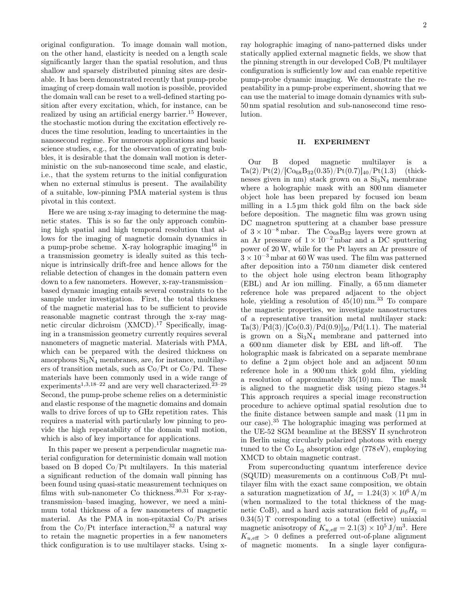original configuration. To image domain wall motion, on the other hand, elasticity is needed on a length scale significantly larger than the spatial resolution, and thus shallow and sparsely distributed pinning sites are desirable. It has been demonstrated recently that pump-probe imaging of creep domain wall motion is possible, provided the domain wall can be reset to a well-defined starting position after every excitation, which, for instance, can be realized by using an artificial energy barrier.<sup>15</sup> However, the stochastic motion during the excitation effectively reduces the time resolution, leading to uncertainties in the nanosecond regime. For numerous applications and basic science studies, e.g., for the observation of gyrating bubbles, it is desirable that the domain wall motion is deterministic on the sub-nanosecond time scale, and elastic, i.e., that the system returns to the initial configuration when no external stimulus is present. The availability of a suitable, low-pinning PMA material system is thus pivotal in this context.

Here we are using x-ray imaging to determine the magnetic states. This is so far the only approach combining high spatial and high temporal resolution that allows for the imaging of magnetic domain dynamics in a pump-probe scheme. X-ray holographic imaging<sup>16</sup> in a transmission geometry is ideally suited as this technique is intrinsically drift-free and hence allows for the reliable detection of changes in the domain pattern even down to a few nanometers. However, x-ray-transmission– based dynamic imaging entails several constraints to the sample under investigation. First, the total thickness of the magnetic material has to be sufficient to provide reasonable magnetic contrast through the x-ray magnetic circular dichroism  $(XMCD)$ .<sup>17</sup> Specifically, imaging in a transmission geometry currently requires several nanometers of magnetic material. Materials with PMA, which can be prepared with the desired thickness on amorphous  $Si<sub>3</sub>N<sub>4</sub>$  membranes, are, for instance, multilayers of transition metals, such as Co/Pt or Co/Pd. These materials have been commonly used in a wide range of experiments<sup>1,3,18–22</sup> and are very well characterized.<sup>23–29</sup> Second, the pump-probe scheme relies on a deterministic and elastic response of the magnetic domains and domain walls to drive forces of up to GHz repetition rates. This requires a material with particularly low pinning to provide the high repeatability of the domain wall motion, which is also of key importance for applications.

In this paper we present a perpendicular magnetic material configuration for deterministic domain wall motion based on B doped Co/Pt multilayers. In this material a significant reduction of the domain wall pinning has been found using quasi-static measurement techniques on films with sub-nanometer Co thickness.30,31 For x-raytransmission–based imaging, however, we need a minimum total thickness of a few nanometers of magnetic material. As the PMA in non-epitaxial Co/Pt arises from the  $Co/Pt$  interface interaction,<sup>32</sup> a natural way to retain the magnetic properties in a few nanometers thick configuration is to use multilayer stacks. Using xray holographic imaging of nano-patterned disks under statically applied external magnetic fields, we show that the pinning strength in our developed CoB/Pt multilayer configuration is sufficiently low and can enable repetitive pump-probe dynamic imaging. We demonstrate the repeatability in a pump-probe experiment, showing that we can use the material to image domain dynamics with sub-50 nm spatial resolution and sub-nanosecond time resolution.

#### II. EXPERIMENT

Our B doped magnetic multilayer is a  $Ta(2)/Pt(2)/[Co_{68}B_{32}(0.35)/Pt(0.7)]_{40}/Pt(1.3)$  (thicknesses given in nm) stack grown on a  $Si<sub>3</sub>N<sub>4</sub>$  membrane where a holographic mask with an 800 nm diameter object hole has been prepared by focused ion beam milling in a  $1.5 \mu m$  thick gold film on the back side before deposition. The magnetic film was grown using DC magnetron sputtering at a chamber base pressure of  $3 \times 10^{-8}$  mbar. The Co<sub>68</sub>B<sub>32</sub> layers were grown at an Ar pressure of  $1 \times 10^{-2}$  mbar and a DC sputtering power of 20W, while for the Pt layers an Ar pressure of  $3 \times 10^{-3}$  mbar at 60 W was used. The film was patterned after deposition into a 750 nm diameter disk centered to the object hole using electron beam lithography (EBL) and Ar ion milling. Finally, a 65 nm diameter reference hole was prepared adjacent to the object hole, yielding a resolution of  $45(10)$  nm.<sup>33</sup> To compare the magnetic properties, we investigate nanostructures of a representative transition metal multilayer stack:  $Ta(3)/Pd(3)/[Co(0.3)/Pd(0.9)]_{50}/Pd(1.1)$ . The material is grown on a  $Si<sub>3</sub>N<sub>4</sub>$  membrane and patterned into a 600 nm diameter disk by EBL and lift-off. The holographic mask is fabricated on a separate membrane to define a 2 µm object hole and an adjacent 50 nm reference hole in a 900 nm thick gold film, yielding a resolution of approximately 35(10) nm. The mask is aligned to the magnetic disk using piezo stages.<sup>34</sup> This approach requires a special image reconstruction procedure to achieve optimal spatial resolution due to the finite distance between sample and mask (11 µm in our case).<sup>35</sup> The holographic imaging was performed at the UE-52 SGM beamline at the BESSY II synchrotron in Berlin using circularly polarized photons with energy tuned to the Co  $L_3$  absorption edge (778 eV), employing XMCD to obtain magnetic contrast.

From superconducting quantum interference device (SQUID) measurements on a continuous CoB/Pt multilayer film with the exact same composition, we obtain a saturation magnetization of  $M_s = 1.24(3) \times 10^6$  A/m (when normalized to the total thickness of the magnetic CoB), and a hard axis saturation field of  $\mu_0H_k =$  $0.34(5)$  T corresponding to a total (effective) uniaxial magnetic anisotropy of  $K_{u,\text{eff}} = 2.1(3) \times 10^5 \text{ J/m}^3$ . Here  $K_{u, \text{eff}} > 0$  defines a preferred out-of-plane alignment of magnetic moments. In a single layer configura-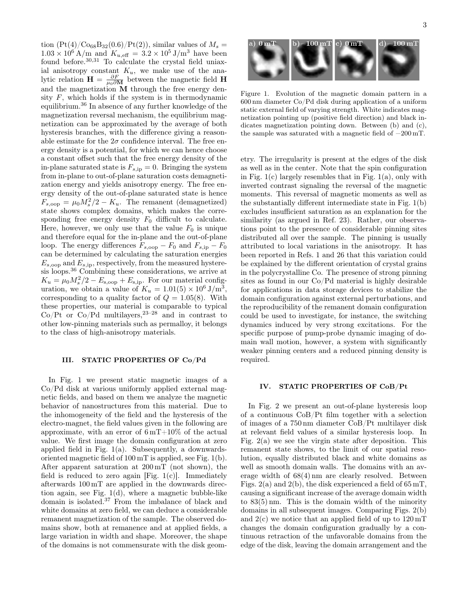tion  $(Pt(4)/Co_{68}B_{32}(0.6)/Pt(2))$ , similar values of  $M_s =$  $1.03 \times 10^6$  A/m and  $K_{u,eff} = 3.2 \times 10^5$  J/m<sup>3</sup> have been found before.30,31 To calculate the crystal field uniaxial anisotropy constant  $K_u$ , we make use of the analytic relation  $\mathbf{H} = \frac{\partial F}{\mu_0 \partial \mathbf{M}}$  between the magnetic field  $\mathbf{H}$ and the magnetization M through the free energy density  $F$ , which holds if the system is in thermodynamic equilibrium.<sup>36</sup> In absence of any further knowledge of the magnetization reversal mechanism, the equilibrium magnetization can be approximated by the average of both hysteresis branches, with the difference giving a reasonable estimate for the  $2\sigma$  confidence interval. The free energy density is a potential, for which we can hence choose a constant offset such that the free energy density of the in-plane saturated state is  $F_{s,ip} = 0$ . Bringing the system from in-plane to out-of-plane saturation costs demagnetization energy and yields anisotropy energy. The free energy density of the out-of-plane saturated state is hence  $F_{s,\text{oop}} = \mu_0 M_s^2/2 - K_u$ . The remanent (demagnetized) state shows complex domains, which makes the corresponding free energy density  $F_0$  difficult to calculate. Here, however, we only use that the value  $F_0$  is unique and therefore equal for the in-plane and the out-of-plane loop. The energy differences  $F_{s,\rm{oop}} - F_0$  and  $F_{s,\rm{ip}} - F_0$ can be determined by calculating the saturation energies  $E_{s,\text{oop}}$  and  $E_{s,\text{ip}}$ , respectively, from the measured hysteresis loops.<sup>36</sup> Combining these considerations, we arrive at  $K_u = \mu_0 M_s^2 / 2 - E_{\text{s,oop}} + E_{\text{s,ip}}$ . For our material configuration, we obtain a value of  $K_u = 1.01(5) \times 10^6 \text{ J/m}^3$ , corresponding to a quality factor of  $Q = 1.05(8)$ . With these properties, our material is comparable to typical  $Co/Pt$  or  $Co/Pd$  multilayers,  $23-28$  and in contrast to other low-pinning materials such as permalloy, it belongs to the class of high-anisotropy materials.

# III. STATIC PROPERTIES OF Co/Pd

In Fig. 1 we present static magnetic images of a Co/Pd disk at various uniformly applied external magnetic fields, and based on them we analyze the magnetic behavior of nanostructures from this material. Due to the inhomogeneity of the field and the hysteresis of the electro-magnet, the field values given in the following are approximate, with an error of  $6 \text{ mT} + 10\%$  of the actual value. We first image the domain configuration at zero applied field in Fig.  $1(a)$ . Subsequently, a downwardsoriented magnetic field of 100 mT is applied, see Fig. 1(b). After apparent saturation at 200 mT (not shown), the field is reduced to zero again [Fig.  $1(c)$ ]. Immediately afterwards 100 mT are applied in the downwards direction again, see Fig. 1(d), where a magnetic bubble-like domain is isolated.<sup>37</sup> From the imbalance of black and white domains at zero field, we can deduce a considerable remanent magnetization of the sample. The observed domains show, both at remanence and at applied fields, a large variation in width and shape. Moreover, the shape of the domains is not commensurate with the disk geom-



Figure 1. Evolution of the magnetic domain pattern in a 600 nm diameter Co/Pd disk during application of a uniform static external field of varying strength. White indicates magnetization pointing up (positive field direction) and black indicates magnetization pointing down. Between (b) and (c), the sample was saturated with a magnetic field of −200 mT.

etry. The irregularity is present at the edges of the disk as well as in the center. Note that the spin configuration in Fig.  $1(c)$  largely resembles that in Fig.  $1(a)$ , only with inverted contrast signaling the reversal of the magnetic moments. This reversal of magnetic moments as well as the substantially different intermediate state in Fig. 1(b) excludes insufficient saturation as an explanation for the similarity (as argued in Ref. 23). Rather, our observations point to the presence of considerable pinning sites distributed all over the sample. The pinning is usually attributed to local variations in the anisotropy. It has been reported in Refs. 1 and 26 that this variation could be explained by the different orientation of crystal grains in the polycrystalline Co. The presence of strong pinning sites as found in our Co/Pd material is highly desirable for applications in data storage devices to stabilize the domain configuration against external perturbations, and the reproducibility of the remanent domain configuration could be used to investigate, for instance, the switching dynamics induced by very strong excitations. For the specific purpose of pump-probe dynamic imaging of domain wall motion, however, a system with significantly weaker pinning centers and a reduced pinning density is required.

#### IV. STATIC PROPERTIES OF CoB/Pt

In Fig. 2 we present an out-of-plane hysteresis loop of a continuous CoB/Pt film together with a selection of images of a 750 nm diameter CoB/Pt multilayer disk at relevant field values of a similar hysteresis loop. In Fig.  $2(a)$  we see the virgin state after deposition. This remanent state shows, to the limit of our spatial resolution, equally distributed black and white domains as well as smooth domain walls. The domains with an average width of 68(4) nm are clearly resolved. Between Figs. 2(a) and 2(b), the disk experienced a field of  $65 \text{ mT}$ , causing a significant increase of the average domain width to 83(5) nm. This is the domain width of the minority domains in all subsequent images. Comparing Figs. 2(b) and  $2(c)$  we notice that an applied field of up to  $120 \,\mathrm{mT}$ changes the domain configuration gradually by a continuous retraction of the unfavorable domains from the edge of the disk, leaving the domain arrangement and the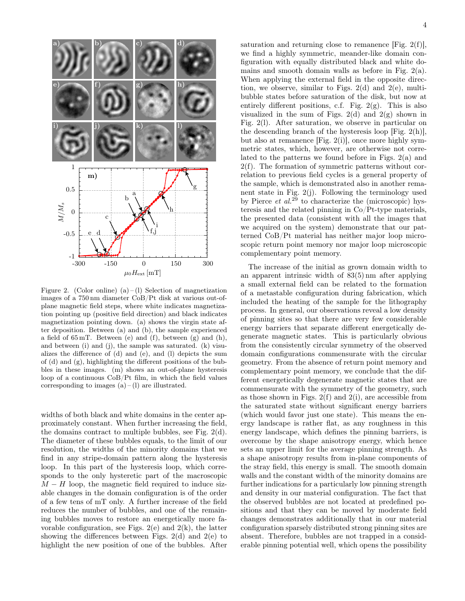

Figure 2. (Color online) (a) – (1) Selection of magnetization images of a 750 nm diameter CoB/Pt disk at various out-ofplane magnetic field steps, where white indicates magnetization pointing up (positive field direction) and black indicates magnetization pointing down. (a) shows the virgin state after deposition. Between (a) and (b), the sample experienced a field of 65 mT. Between (e) and (f), between (g) and (h), and between (i) and (j), the sample was saturated. (k) visualizes the difference of (d) and (e), and (l) depicts the sum of (d) and (g), highlighting the different positions of the bubbles in these images. (m) shows an out-of-plane hysteresis loop of a continuous CoB/Pt film, in which the field values corresponding to images  $(a) - (l)$  are illustrated.

widths of both black and white domains in the center approximately constant. When further increasing the field, the domains contract to multiple bubbles, see Fig. 2(d). The diameter of these bubbles equals, to the limit of our resolution, the widths of the minority domains that we find in any stripe-domain pattern along the hysteresis loop. In this part of the hysteresis loop, which corresponds to the only hysteretic part of the macroscopic  $M-H$  loop, the magnetic field required to induce sizable changes in the domain configuration is of the order of a few tens of mT only. A further increase of the field reduces the number of bubbles, and one of the remaining bubbles moves to restore an energetically more favorable configuration, see Figs.  $2(e)$  and  $2(k)$ , the latter showing the differences between Figs. 2(d) and 2(e) to highlight the new position of one of the bubbles. After saturation and returning close to remanence [Fig.  $2(f)$ ], we find a highly symmetric, meander-like domain configuration with equally distributed black and white domains and smooth domain walls as before in Fig. 2(a). When applying the external field in the opposite direction, we observe, similar to Figs.  $2(d)$  and  $2(e)$ , multibubble states before saturation of the disk, but now at entirely different positions, c.f. Fig.  $2(g)$ . This is also visualized in the sum of Figs. 2(d) and  $2(g)$  shown in Fig. 2(l). After saturation, we observe in particular on the descending branch of the hysteresis loop [Fig. 2(h)], but also at remanence [Fig. 2(i)], once more highly symmetric states, which, however, are otherwise not correlated to the patterns we found before in Figs. 2(a) and 2(f). The formation of symmetric patterns without correlation to previous field cycles is a general property of the sample, which is demonstrated also in another remanent state in Fig. 2(j). Following the terminology used by Pierce *et al.*<sup>29</sup> to characterize the (microscopic) hysteresis and the related pinning in Co/Pt-type materials, the presented data (consistent with all the images that we acquired on the system) demonstrate that our patterned CoB/Pt material has neither major loop microscopic return point memory nor major loop microscopic complementary point memory.

The increase of the initial as grown domain width to an apparent intrinsic width of 83(5) nm after applying a small external field can be related to the formation of a metastable configuration during fabrication, which included the heating of the sample for the lithography process. In general, our observations reveal a low density of pinning sites so that there are very few considerable energy barriers that separate different energetically degenerate magnetic states. This is particularly obvious from the consistently circular symmetry of the observed domain configurations commensurate with the circular geometry. From the absence of return point memory and complementary point memory, we conclude that the different energetically degenerate magnetic states that are commensurate with the symmetry of the geometry, such as those shown in Figs.  $2(f)$  and  $2(i)$ , are accessible from the saturated state without significant energy barriers (which would favor just one state). This means the energy landscape is rather flat, as any roughness in this energy landscape, which defines the pinning barriers, is overcome by the shape anisotropy energy, which hence sets an upper limit for the average pinning strength. As a shape anisotropy results from in-plane components of the stray field, this energy is small. The smooth domain walls and the constant width of the minority domains are further indications for a particularly low pinning strength and density in our material configuration. The fact that the observed bubbles are not located at predefined positions and that they can be moved by moderate field changes demonstrates additionally that in our material configuration sparsely distributed strong pinning sites are absent. Therefore, bubbles are not trapped in a considerable pinning potential well, which opens the possibility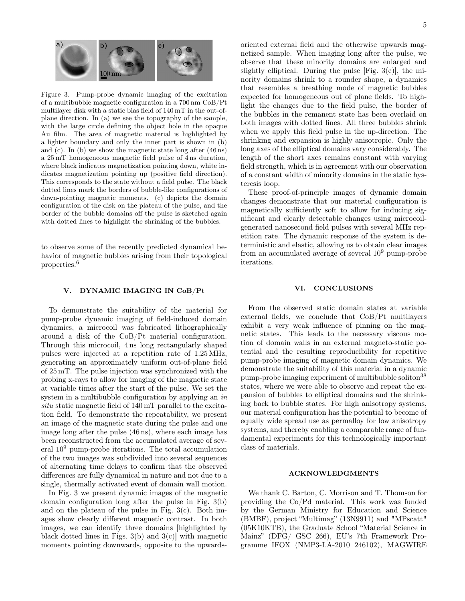

Figure 3. Pump-probe dynamic imaging of the excitation of a multibubble magnetic configuration in a 700 nm CoB/Pt multilayer disk with a static bias field of 140 mT in the out-ofplane direction. In (a) we see the topography of the sample, with the large circle defining the object hole in the opaque Au film. The area of magnetic material is highlighted by a lighter boundary and only the inner part is shown in (b) and (c). In (b) we show the magnetic state long after (46 ns) a 25 mT homogeneous magnetic field pulse of 4 ns duration, where black indicates magnetization pointing down, white indicates magnetization pointing up (positive field direction). This corresponds to the state without a field pulse. The black dotted lines mark the borders of bubble-like configurations of down-pointing magnetic moments. (c) depicts the domain configuration of the disk on the plateau of the pulse, and the border of the bubble domains off the pulse is sketched again with dotted lines to highlight the shrinking of the bubbles.

to observe some of the recently predicted dynamical behavior of magnetic bubbles arising from their topological properties.<sup>6</sup>

# V. DYNAMIC IMAGING IN CoB/Pt

To demonstrate the suitability of the material for pump-probe dynamic imaging of field-induced domain dynamics, a microcoil was fabricated lithographically around a disk of the CoB/Pt material configuration. Through this microcoil, 4 ns long rectangularly shaped pulses were injected at a repetition rate of 1.25 MHz, generating an approximately uniform out-of-plane field of 25 mT. The pulse injection was synchronized with the probing x-rays to allow for imaging of the magnetic state at variable times after the start of the pulse. We set the system in a multibubble configuration by applying an in situ static magnetic field of 140 mT parallel to the excitation field. To demonstrate the repeatability, we present an image of the magnetic state during the pulse and one image long after the pulse (46 ns), where each image has been reconstructed from the accumulated average of several  $10<sup>9</sup>$  pump-probe iterations. The total accumulation of the two images was subdivided into several sequences of alternating time delays to confirm that the observed differences are fully dynamical in nature and not due to a single, thermally activated event of domain wall motion.

In Fig. 3 we present dynamic images of the magnetic domain configuration long after the pulse in Fig. 3(b) and on the plateau of the pulse in Fig.  $3(c)$ . Both images show clearly different magnetic contrast. In both images, we can identify three domains [highlighted by black dotted lines in Figs.  $3(b)$  and  $3(c)$ ] with magnetic moments pointing downwards, opposite to the upwardsobserve that these minority domains are enlarged and slightly elliptical. During the pulse [Fig.  $3(c)$ ], the minority domains shrink to a rounder shape, a dynamics that resembles a breathing mode of magnetic bubbles expected for homogeneous out of plane fields. To highlight the changes due to the field pulse, the border of the bubbles in the remanent state has been overlaid on both images with dotted lines. All three bubbles shrink when we apply this field pulse in the up-direction. The shrinking and expansion is highly anisotropic. Only the long axes of the elliptical domains vary considerably. The length of the short axes remains constant with varying field strength, which is in agreement with our observation of a constant width of minority domains in the static hysteresis loop.

These proof-of-principle images of dynamic domain changes demonstrate that our material configuration is magnetically sufficiently soft to allow for inducing significant and clearly detectable changes using microcoilgenerated nanosecond field pulses with several MHz repetition rate. The dynamic response of the system is deterministic and elastic, allowing us to obtain clear images from an accumulated average of several  $10<sup>9</sup>$  pump-probe iterations.

# VI. CONCLUSIONS

From the observed static domain states at variable external fields, we conclude that CoB/Pt multilayers exhibit a very weak influence of pinning on the magnetic states. This leads to the necessary viscous motion of domain walls in an external magneto-static potential and the resulting reproducibility for repetitive pump-probe imaging of magnetic domain dynamics. We demonstrate the suitability of this material in a dynamic pump-probe imaging experiment of multibubble soliton<sup>38</sup> states, where we were able to observe and repeat the expansion of bubbles to elliptical domains and the shrinking back to bubble states. For high anisotropy systems, our material configuration has the potential to become of equally wide spread use as permalloy for low anisotropy systems, and thereby enabling a comparable range of fundamental experiments for this technologically important class of materials.

# ACKNOWLEDGMENTS

We thank C. Barton, C. Morrison and T. Thomson for providing the Co/Pd material. This work was funded by the German Ministry for Education and Science (BMBF), project "Multimag" (13N9911) and "MPscatt" (05K10KTB), the Graduate School "Material Science in Mainz" (DFG/ GSC 266), EU's 7th Framework Programme IFOX (NMP3-LA-2010 246102), MAGWIRE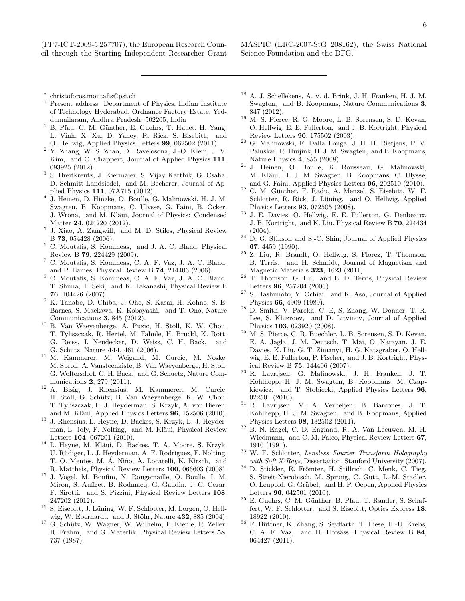(FP7-ICT-2009-5 257707), the European Research Council through the Starting Independent Researcher Grant MASPIC (ERC-2007-StG 208162), the Swiss National Science Foundation and the DFG.

- ∗ christoforos.moutafis@psi.ch
- † Present address: Department of Physics, Indian Institute of Technology Hyderabad, Ordnance Factory Estate, Yeddumailaram, Andhra Pradesh, 502205, India
- <sup>1</sup> B. Pfau, C. M. Günther, E. Guehrs, T. Hauet, H. Yang, L. Vinh, X. Xu, D. Yaney, R. Rick, S. Eisebitt, and O. Hellwig, Applied Physics Letters 99, 062502 (2011).
- <sup>2</sup> Y. Zhang, W. S. Zhao, D. Ravelosona, J.-O. Klein, J. V. Kim, and C. Chappert, Journal of Applied Physics 111, 093925 (2012).
- <sup>3</sup> S. Breitkreutz, J. Kiermaier, S. Vijay Karthik, G. Csaba, D. Schmitt-Landsiedel, and M. Becherer, Journal of Applied Physics 111, 07A715 (2012).
- 4 J. Heinen, D. Hinzke, O. Boulle, G. Malinowski, H. J. M. Swagten, B. Koopmans, C. Ulysse, G. Faini, B. Ocker, J. Wrona, and M. Kläui, Journal of Physics: Condensed Matter 24, 024220 (2012).
- 5 J. Xiao, A. Zangwill, and M. D. Stiles, Physical Review B 73, 054428 (2006).
- <sup>6</sup> C. Moutafis, S. Komineas, and J. A. C. Bland, Physical Review B 79, 224429 (2009).
- <sup>7</sup> C. Moutafis, S. Komineas, C. A. F. Vaz, J. A. C. Bland, and P. Eames, Physical Review B 74, 214406 (2006).
- <sup>8</sup> C. Moutafis, S. Komineas, C. A. F. Vaz, J. A. C. Bland, T. Shima, T. Seki, and K. Takanashi, Physical Review B 76, 104426 (2007).
- <sup>9</sup> K. Tanabe, D. Chiba, J. Ohe, S. Kasai, H. Kohno, S. E. Barnes, S. Maekawa, K. Kobayashi, and T. Ono, Nature Communications 3, 845 (2012).
- <sup>10</sup> B. Van Waeyenberge, A. Puzic, H. Stoll, K. W. Chou, T. Tyliszczak, R. Hertel, M. Fahnle, H. Bruckl, K. Rott, G. Reiss, I. Neudecker, D. Weiss, C. H. Back, and G. Schutz, Nature 444, 461 (2006).
- <sup>11</sup> M. Kammerer, M. Weigand, M. Curcic, M. Noske, M. Sproll, A. Vansteenkiste, B. Van Waeyenberge, H. Stoll, G. Woltersdorf, C. H. Back, and G. Schuetz, Nature Communications 2, 279 (2011).
- <sup>12</sup> A. Bisig, J. Rhensius, M. Kammerer, M. Curcic, H. Stoll, G. Schütz, B. Van Waeyenberge, K. W. Chou, T. Tyliszczak, L. J. Heyderman, S. Krzyk, A. von Bieren, and M. Kläui, Applied Physics Letters 96, 152506 (2010).
- <sup>13</sup> J. Rhensius, L. Heyne, D. Backes, S. Krzyk, L. J. Heyderman, L. Joly, F. Nolting, and M. Kläui, Physical Review Letters 104, 067201 (2010).
- <sup>14</sup> L. Heyne, M. Kläui, D. Backes, T. A. Moore, S. Krzyk, U. Rüdiger, L. J. Heyderman, A. F. Rodríguez, F. Nolting, T. O. Mentes, M. Á. Niño, A. Locatelli, K. Kirsch, and R. Mattheis, Physical Review Letters 100, 066603 (2008).
- <sup>15</sup> J. Vogel, M. Bonfim, N. Rougemaille, O. Boulle, I. M. Miron, S. Auffret, B. Rodmacq, G. Gaudin, J. C. Cezar, F. Sirotti, and S. Pizzini, Physical Review Letters 108, 247202 (2012).
- <sup>16</sup> S. Eisebitt, J. Lüning, W. F. Schlotter, M. Lorgen, O. Hellwig, W. Eberhardt, and J. Stöhr, Nature 432, 885 (2004).
- <sup>17</sup> G. Schütz, W. Wagner, W. Wilhelm, P. Kienle, R. Zeller, R. Frahm, and G. Materlik, Physical Review Letters 58, 737 (1987).
- <sup>18</sup> A. J. Schellekens, A. v. d. Brink, J. H. Franken, H. J. M. Swagten, and B. Koopmans, Nature Communications 3, 847 (2012).
- <sup>19</sup> M. S. Pierce, R. G. Moore, L. B. Sorensen, S. D. Kevan, O. Hellwig, E. E. Fullerton, and J. B. Kortright, Physical Review Letters 90, 175502 (2003).
- <sup>20</sup> G. Malinowski, F. Dalla Longa, J. H. H. Rietjens, P. V. Paluskar, R. Huijink, H. J. M. Swagten, and B. Koopmans, Nature Physics 4, 855 (2008).
- <sup>21</sup> J. Heinen, O. Boulle, K. Rousseau, G. Malinowski, M. Kläui, H. J. M. Swagten, B. Koopmans, C. Ulysse, and G. Faini, Applied Physics Letters 96, 202510 (2010).
- <sup>22</sup> C. M. Günther, F. Radu, A. Menzel, S. Eisebitt, W. F. Schlotter, R. Rick, J. Lüning, and O. Hellwig, Applied Physics Letters 93, 072505 (2008).
- <sup>23</sup> J. E. Davies, O. Hellwig, E. E. Fullerton, G. Denbeaux, J. B. Kortright, and K. Liu, Physical Review B 70, 224434 (2004).
- $24$  D. G. Stinson and S.-C. Shin, Journal of Applied Physics 67, 4459 (1990).
- <sup>25</sup> Z. Liu, R. Brandt, O. Hellwig, S. Florez, T. Thomson, B. Terris, and H. Schmidt, Journal of Magnetism and Magnetic Materials 323, 1623 (2011).
- $26$  T. Thomson, G. Hu, and B. D. Terris, Physical Review Letters 96, 257204 (2006).
- $27$  S. Hashimoto, Y. Ochiai, and K. Aso, Journal of Applied Physics 66, 4909 (1989).
- <sup>28</sup> D. Smith, V. Parekh, C. E, S. Zhang, W. Donner, T. R. Lee, S. Khizroev, and D. Litvinov, Journal of Applied Physics 103, 023920 (2008).
- <sup>29</sup> M. S. Pierce, C. R. Buechler, L. B. Sorensen, S. D. Kevan, E. A. Jagla, J. M. Deutsch, T. Mai, O. Narayan, J. E. Davies, K. Liu, G. T. Zimanyi, H. G. Katzgraber, O. Hellwig, E. E. Fullerton, P. Fischer, and J. B. Kortright, Physical Review B 75, 144406 (2007).
- <sup>30</sup> R. Lavrijsen, G. Malinowski, J. H. Franken, J. T. Kohlhepp, H. J. M. Swagten, B. Koopmans, M. Czapkiewicz, and T. Stobiecki, Applied Physics Letters 96, 022501 (2010).
- <sup>31</sup> R. Lavrijsen, M. A. Verheijen, B. Barcones, J. T. Kohlhepp, H. J. M. Swagten, and B. Koopmans, Applied Physics Letters 98, 132502 (2011).
- <sup>32</sup> B. N. Engel, C. D. England, R. A. Van Leeuwen, M. H. Wiedmann, and C. M. Falco, Physical Review Letters 67, 1910 (1991).
- <sup>33</sup> W. F. Schlotter, Lensless Fourier Transform Holography with Soft X-Rays, Dissertation, Stanford University (2007).
- <sup>34</sup> D. Stickler, R. Frömter, H. Stillrich, C. Menk, C. Tieg, S. Streit-Nierobisch, M. Sprung, C. Gutt, L.-M. Stadler, O. Leupold, G. Grübel, and H. P. Oepen, Applied Physics Letters 96, 042501 (2010).
- <sup>35</sup> E. Guehrs, C. M. Günther, B. Pfau, T. Rander, S. Schaffert, W. F. Schlotter, and S. Eisebitt, Optics Express 18, 18922 (2010).
- $^{36}\,$  F. Büttner, K. Zhang, S. Seyffarth, T. Liese, H.-U. Krebs, C. A. F. Vaz, and H. Hofsäss, Physical Review B 84, 064427 (2011).